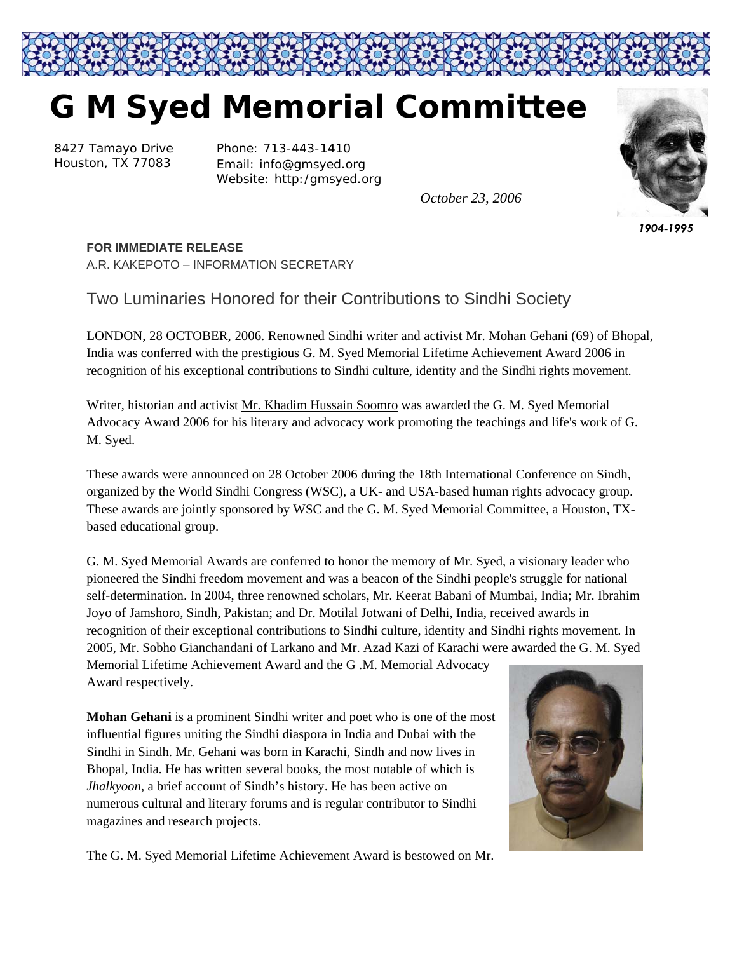

## **G M Syed Memorial Committee**

8427 Tamayo Drive Houston, TX 77083

Phone: 713-443-1410 Email: info@gmsyed.org Website: http:/gmsyed.org

*October 23, 2006* 



*1904-1995* 

## **FOR IMMEDIATE RELEASE**

A.R. KAKEPOTO – INFORMATION SECRETARY

## Two Luminaries Honored for their Contributions to Sindhi Society

LONDON, 28 OCTOBER, 2006. Renowned Sindhi writer and activist Mr. Mohan Gehani (69) of Bhopal, India was conferred with the prestigious G. M. Syed Memorial Lifetime Achievement Award 2006 in recognition of his exceptional contributions to Sindhi culture, identity and the Sindhi rights movement*.*

Writer, historian and activist Mr. Khadim Hussain Soomro was awarded the G. M. Syed Memorial Advocacy Award 2006 for his literary and advocacy work promoting the teachings and life's work of G. M. Syed.

These awards were announced on 28 October 2006 during the 18th International Conference on Sindh, organized by the World Sindhi Congress (WSC), a UK- and USA-based human rights advocacy group. These awards are jointly sponsored by WSC and the G. M. Syed Memorial Committee, a Houston, TXbased educational group.

G. M. Syed Memorial Awards are conferred to honor the memory of Mr. Syed, a visionary leader who pioneered the Sindhi freedom movement and was a beacon of the Sindhi people's struggle for national self-determination. In 2004, three renowned scholars, Mr. Keerat Babani of Mumbai, India; Mr. Ibrahim Joyo of Jamshoro, Sindh, Pakistan; and Dr. Motilal Jotwani of Delhi, India, received awards in recognition of their exceptional contributions to Sindhi culture, identity and Sindhi rights movement. In 2005, Mr. Sobho Gianchandani of Larkano and Mr. Azad Kazi of Karachi were awarded the G. M. Syed

Memorial Lifetime Achievement Award and the G .M. Memorial Advocacy Award respectively.

**Mohan Gehani** is a prominent Sindhi writer and poet who is one of the most influential figures uniting the Sindhi diaspora in India and Dubai with the Sindhi in Sindh. Mr. Gehani was born in Karachi, Sindh and now lives in Bhopal, India. He has written several books, the most notable of which is *Jhalkyoon,* a brief account of Sindh's history. He has been active on numerous cultural and literary forums and is regular contributor to Sindhi magazines and research projects.



The G. M. Syed Memorial Lifetime Achievement Award is bestowed on Mr.